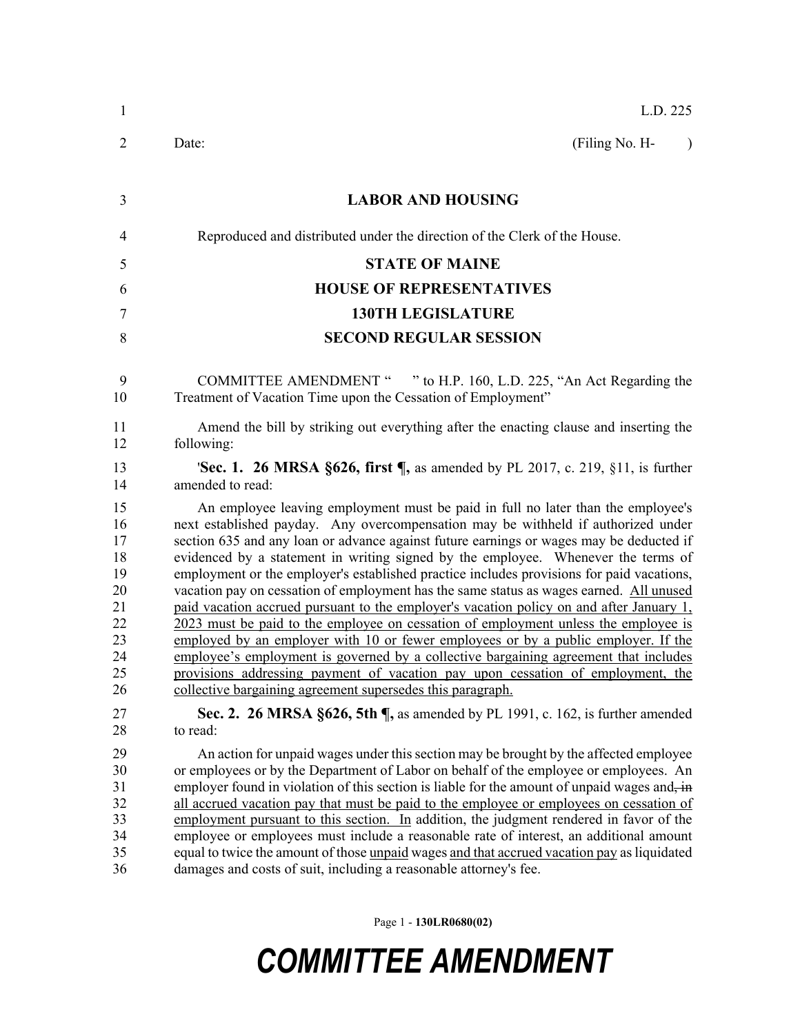| $\mathbf{1}$                                                         | L.D. 225                                                                                                                                                                                                                                                                                                                                                                                                                                                                                                                                                                                                                                                                                                                                                                                                                                                                                                                                                                                                                                                        |
|----------------------------------------------------------------------|-----------------------------------------------------------------------------------------------------------------------------------------------------------------------------------------------------------------------------------------------------------------------------------------------------------------------------------------------------------------------------------------------------------------------------------------------------------------------------------------------------------------------------------------------------------------------------------------------------------------------------------------------------------------------------------------------------------------------------------------------------------------------------------------------------------------------------------------------------------------------------------------------------------------------------------------------------------------------------------------------------------------------------------------------------------------|
| 2                                                                    | (Filing No. H-<br>Date:<br>$\lambda$                                                                                                                                                                                                                                                                                                                                                                                                                                                                                                                                                                                                                                                                                                                                                                                                                                                                                                                                                                                                                            |
| 3                                                                    | <b>LABOR AND HOUSING</b>                                                                                                                                                                                                                                                                                                                                                                                                                                                                                                                                                                                                                                                                                                                                                                                                                                                                                                                                                                                                                                        |
| $\overline{4}$                                                       | Reproduced and distributed under the direction of the Clerk of the House.                                                                                                                                                                                                                                                                                                                                                                                                                                                                                                                                                                                                                                                                                                                                                                                                                                                                                                                                                                                       |
| 5                                                                    | <b>STATE OF MAINE</b>                                                                                                                                                                                                                                                                                                                                                                                                                                                                                                                                                                                                                                                                                                                                                                                                                                                                                                                                                                                                                                           |
| 6                                                                    | <b>HOUSE OF REPRESENTATIVES</b>                                                                                                                                                                                                                                                                                                                                                                                                                                                                                                                                                                                                                                                                                                                                                                                                                                                                                                                                                                                                                                 |
| $\tau$                                                               | <b>130TH LEGISLATURE</b>                                                                                                                                                                                                                                                                                                                                                                                                                                                                                                                                                                                                                                                                                                                                                                                                                                                                                                                                                                                                                                        |
| 8                                                                    | <b>SECOND REGULAR SESSION</b>                                                                                                                                                                                                                                                                                                                                                                                                                                                                                                                                                                                                                                                                                                                                                                                                                                                                                                                                                                                                                                   |
| 9<br>10                                                              | COMMITTEE AMENDMENT " " to H.P. 160, L.D. 225, "An Act Regarding the<br>Treatment of Vacation Time upon the Cessation of Employment"                                                                                                                                                                                                                                                                                                                                                                                                                                                                                                                                                                                                                                                                                                                                                                                                                                                                                                                            |
| 11<br>12                                                             | Amend the bill by striking out everything after the enacting clause and inserting the<br>following:                                                                                                                                                                                                                                                                                                                                                                                                                                                                                                                                                                                                                                                                                                                                                                                                                                                                                                                                                             |
| 13<br>14                                                             | <b>'Sec. 1. 26 MRSA §626, first <math>\P</math></b> , as amended by PL 2017, c. 219, §11, is further<br>amended to read:                                                                                                                                                                                                                                                                                                                                                                                                                                                                                                                                                                                                                                                                                                                                                                                                                                                                                                                                        |
| 15<br>16<br>17<br>18<br>19<br>20<br>21<br>22<br>23<br>24<br>25<br>26 | An employee leaving employment must be paid in full no later than the employee's<br>next established payday. Any overcompensation may be withheld if authorized under<br>section 635 and any loan or advance against future earnings or wages may be deducted if<br>evidenced by a statement in writing signed by the employee. Whenever the terms of<br>employment or the employer's established practice includes provisions for paid vacations,<br>vacation pay on cessation of employment has the same status as wages earned. All unused<br>paid vacation accrued pursuant to the employer's vacation policy on and after January 1,<br>2023 must be paid to the employee on cessation of employment unless the employee is<br>employed by an employer with 10 or fewer employees or by a public employer. If the<br>employee's employment is governed by a collective bargaining agreement that includes<br>provisions addressing payment of vacation pay upon cessation of employment, the<br>collective bargaining agreement supersedes this paragraph. |
| 27<br>28                                                             | Sec. 2. 26 MRSA §626, 5th ¶, as amended by PL 1991, c. 162, is further amended<br>to read:                                                                                                                                                                                                                                                                                                                                                                                                                                                                                                                                                                                                                                                                                                                                                                                                                                                                                                                                                                      |
| 29<br>30<br>31<br>32<br>33<br>34<br>35<br>36                         | An action for unpaid wages under this section may be brought by the affected employee<br>or employees or by the Department of Labor on behalf of the employee or employees. An<br>employer found in violation of this section is liable for the amount of unpaid wages and, in<br>all accrued vacation pay that must be paid to the employee or employees on cessation of<br>employment pursuant to this section. In addition, the judgment rendered in favor of the<br>employee or employees must include a reasonable rate of interest, an additional amount<br>equal to twice the amount of those <u>unpaid</u> wages and that accrued vacation pay as liquidated<br>damages and costs of suit, including a reasonable attorney's fee.                                                                                                                                                                                                                                                                                                                       |

Page 1 - **130LR0680(02)**

## *COMMITTEE AMENDMENT*